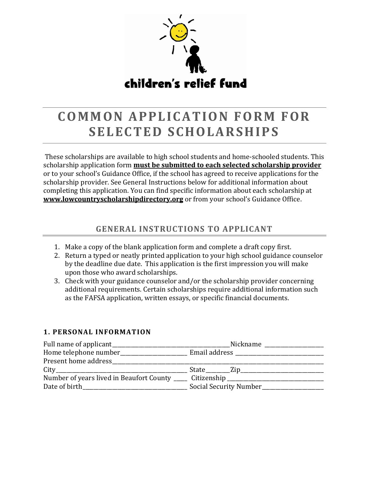

# **COMMON APPLICATION FORM FOR S E L E C T E D S C H O L A R S H I PS**

These scholarships are available to high school students and home-schooled students. This scholarship application form **must be submitted to each selected scholarship provider** or to your school's Guidance Office, if the school has agreed to receive applications for the scholarship provider. See General Instructions below for additional information about completing this application. You can find specific information about each scholarship at **www.lowcountryscholarshipdirectory.org** or from your school's Guidance Office.

# **GENERAL INSTRUCTIONS TO APPLICANT**

- 1. Make a copy of the blank application form and complete a draft copy first.
- 2. Return a typed or neatly printed application to your high school guidance counselor by the deadline due date. This application is the first impression you will make upon those who award scholarships.
- 3. Check with your guidance counselor and/or the scholarship provider concerning additional requirements. Certain scholarships require additional information such as the FAFSA application, written essays, or specific financial documents.

# **1. PERSONAL INFORMATION**

|                                                                                   | Nickname ____________________ |
|-----------------------------------------------------------------------------------|-------------------------------|
|                                                                                   |                               |
| Present home address                                                              |                               |
|                                                                                   |                               |
| Number of years lived in Beaufort County ______ Citizenship _____________________ |                               |
|                                                                                   | Social Security Number        |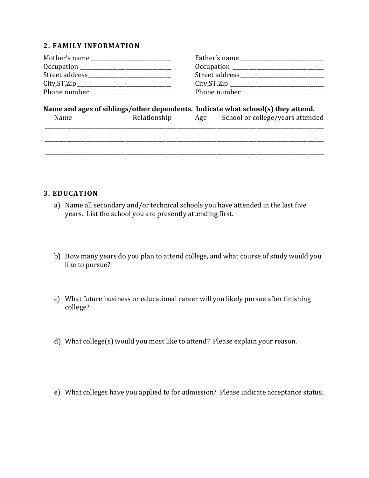## **2. FAMILY INFORMATION**

|               | Street address ___________________ |
|---------------|------------------------------------|
| City, ST, Zip | City, ST, Zip                      |
| Phone number  | Phone number                       |

## **Name and ages of siblings/other dependents. Indicate what school(s) they attend.**

| <b>Name</b> | Relationship | Age | School or college/years attended |
|-------------|--------------|-----|----------------------------------|
|             |              |     |                                  |

\_\_\_\_\_\_\_\_\_\_\_\_\_\_\_\_\_\_\_\_\_\_\_\_\_\_\_\_\_\_\_\_\_\_\_\_\_\_\_\_\_\_\_\_\_\_\_\_\_\_\_\_\_\_\_\_\_\_\_\_\_\_\_\_\_\_\_\_\_\_\_\_\_\_\_\_\_\_\_\_\_\_\_\_\_\_\_\_\_\_\_\_\_\_\_\_\_\_\_\_\_\_\_\_

\_\_\_\_\_\_\_\_\_\_\_\_\_\_\_\_\_\_\_\_\_\_\_\_\_\_\_\_\_\_\_\_\_\_\_\_\_\_\_\_\_\_\_\_\_\_\_\_\_\_\_\_\_\_\_\_\_\_\_\_\_\_\_\_\_\_\_\_\_\_\_\_\_\_\_\_\_\_\_\_\_\_\_\_\_\_\_\_\_\_\_\_\_\_\_\_\_\_\_\_\_\_\_\_

\_\_\_\_\_\_\_\_\_\_\_\_\_\_\_\_\_\_\_\_\_\_\_\_\_\_\_\_\_\_\_\_\_\_\_\_\_\_\_\_\_\_\_\_\_\_\_\_\_\_\_\_\_\_\_\_\_\_\_\_\_\_\_\_\_\_\_\_\_\_\_\_\_\_\_\_\_\_\_\_\_\_\_\_\_\_\_\_\_\_\_\_\_\_\_\_\_\_\_\_\_\_\_\_

#### **3. EDUCATION**

- a) Name all secondary and/or technical schools you have attended in the last five years. List the school you are presently attending first.
- b) How many years do you plan to attend college, and what course of study would you like to pursue?
- c) What future business or educational career will you likely pursue after finishing college?
- d) What college(s) would you most like to attend? Please explain your reason.
- e) What colleges have you applied to for admission? Please indicate acceptance status.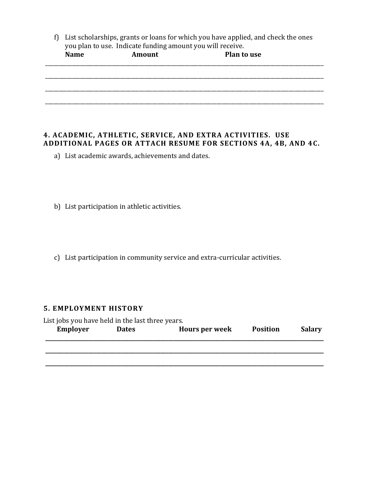f) List scholarships, grants or loans for which you have applied, and check the ones you plan to use. Indicate funding amount you will receive.<br>
Name **Amount** Plan to **Plan to use** 

| wanne | THILOUILL | <b>THAIR COMMA</b> |
|-------|-----------|--------------------|
|       |           |                    |
|       |           |                    |
|       |           |                    |
|       |           |                    |
|       |           |                    |
|       |           |                    |
|       |           |                    |
|       |           |                    |
|       |           |                    |

#### **4. ACADEMIC, ATHLETIC, SERVICE, AND EXTRA ACTIVITIES. USE ADDITIONAL PAGES OR ATTACH RESUME FOR SECTIONS 4A, 4B, AND 4C.**

- a) List academic awards, achievements and dates.
- b) List participation in athletic activities.
- c) List participation in community service and extra-curricular activities.

#### **5. EMPLOYMENT HISTORY**

| <b>Employer</b> | List jobs you have held in the last three years.<br><b>Dates</b> | <b>Hours per week</b> | <b>Position</b> | <b>Salary</b> |
|-----------------|------------------------------------------------------------------|-----------------------|-----------------|---------------|
|                 |                                                                  |                       |                 |               |
|                 |                                                                  |                       |                 |               |
|                 |                                                                  |                       |                 |               |
|                 |                                                                  |                       |                 |               |
|                 |                                                                  |                       |                 |               |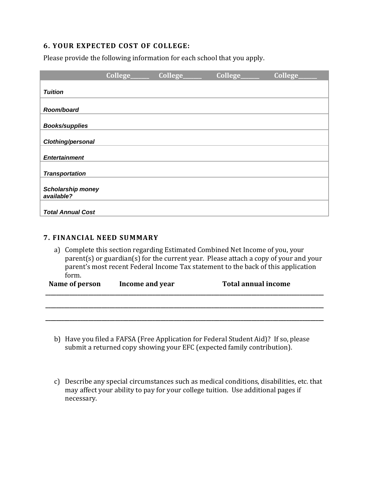## **6. YOUR EXPECTED COST OF COLLEGE:**

Please provide the following information for each school that you apply.

|                                        | College_ | College_ | College | College |
|----------------------------------------|----------|----------|---------|---------|
| <b>Tuition</b>                         |          |          |         |         |
|                                        |          |          |         |         |
| Room/board                             |          |          |         |         |
| <b>Books/supplies</b>                  |          |          |         |         |
| Clothing/personal                      |          |          |         |         |
| <b>Entertainment</b>                   |          |          |         |         |
|                                        |          |          |         |         |
| <b>Transportation</b>                  |          |          |         |         |
| <b>Scholarship money</b><br>available? |          |          |         |         |
| <b>Total Annual Cost</b>               |          |          |         |         |

#### **7. FINANCIAL NEED SUMMARY**

a) Complete this section regarding Estimated Combined Net Income of you, your parent(s) or guardian(s) for the current year. Please attach a copy of your and your parent's most recent Federal Income Tax statement to the back of this application form.

| Name of person<br>Income and year |  | <b>Total annual income</b> |  |
|-----------------------------------|--|----------------------------|--|
|                                   |  |                            |  |
|                                   |  |                            |  |

- b) Have you filed a FAFSA (Free Application for Federal Student Aid)? If so, please submit a returned copy showing your EFC (expected family contribution).
- c) Describe any special circumstances such as medical conditions, disabilities, etc. that may affect your ability to pay for your college tuition. Use additional pages if necessary.